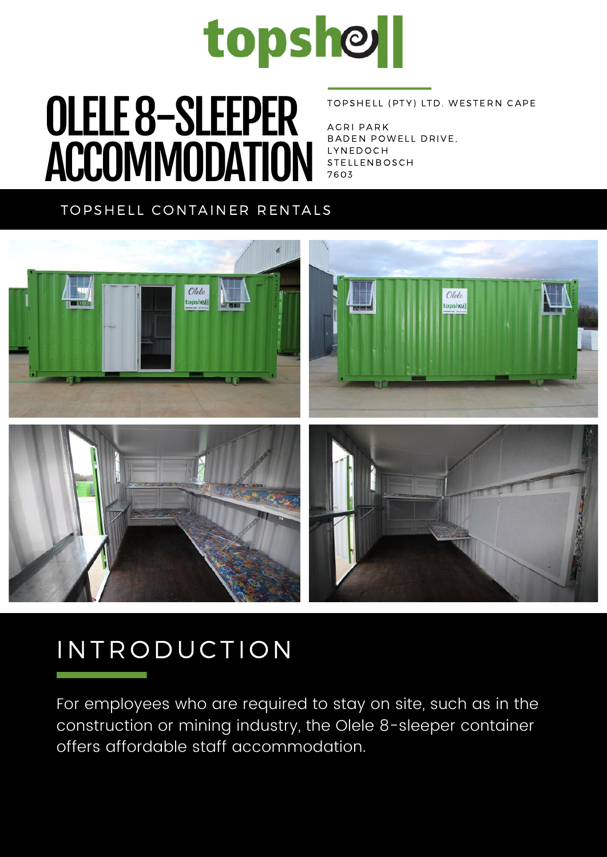

# $\overline{\mathbf{O}}$  of  $\overline{\mathbf{A}}$  and  $\overline{\mathbf{A}}$   $\overline{\mathbf{C}}$ OLELE 8-SLEEPER ACCOMMODATION

#### TOPSHELL (PTY) LTD. WESTERN CAPE

AGRI PARK BADEN POWELL DRIVE, **LYNEDOCH** STELLENBOSCH 7 6 0 3

### TOPSHELL CONTAINER RENTALS



## IN TRODUCTION

For employees who are required to stay on site, such as in the construction or mining industry, the Olele 8-sleeper container offers affordable staff accommodation.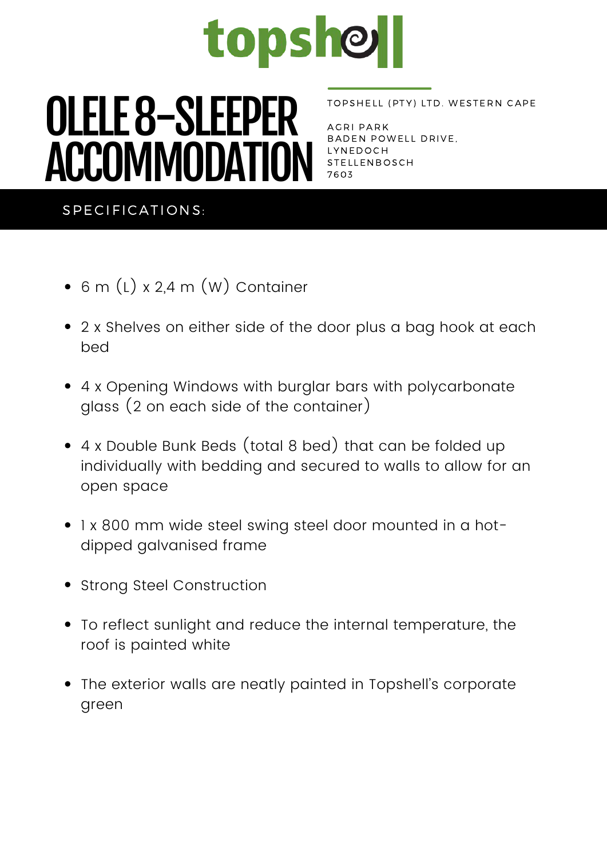

# **COLLECTER COMPLIER ADEN POLLECTE CONCRETE CONCRETE CONCRETE CONCRETE CONCRETE CONCRETE CONCRETE CONCRETE CONCRETE CONCRETE CONCRETE CONCRETE CONCRETE CONCRETE CONCRETE CONCRETE CONCRETE CONCRETE CONCRETE CONCRETE CONCRETE** OLELE 8-SLEEPER ACCOMMODATION

#### TOPSHELL (PTY) LTD. WESTERN CAPE

AGRI PARK BADEN POWELL DRIVE, STELLENBOSCH 7 6 0 3

### SPECIFICATIONS:

- 6 m (L) x 2,4 m (W) Container
- 2 x Shelves on either side of the door plus a bag hook at each bed
- 4 x Opening Windows with burglar bars with polycarbonate glass (2 on each side of the container)
- 4 x Double Bunk Beds (total 8 bed) that can be folded up individually with bedding and secured to walls to allow for an open space
- 1 x 800 mm wide steel swing steel door mounted in a hotdipped galvanised frame
- Strong Steel Construction
- To reflect sunlight and reduce the internal temperature, the roof is painted white
- The exterior walls are neatly painted in Topshell's corporate green